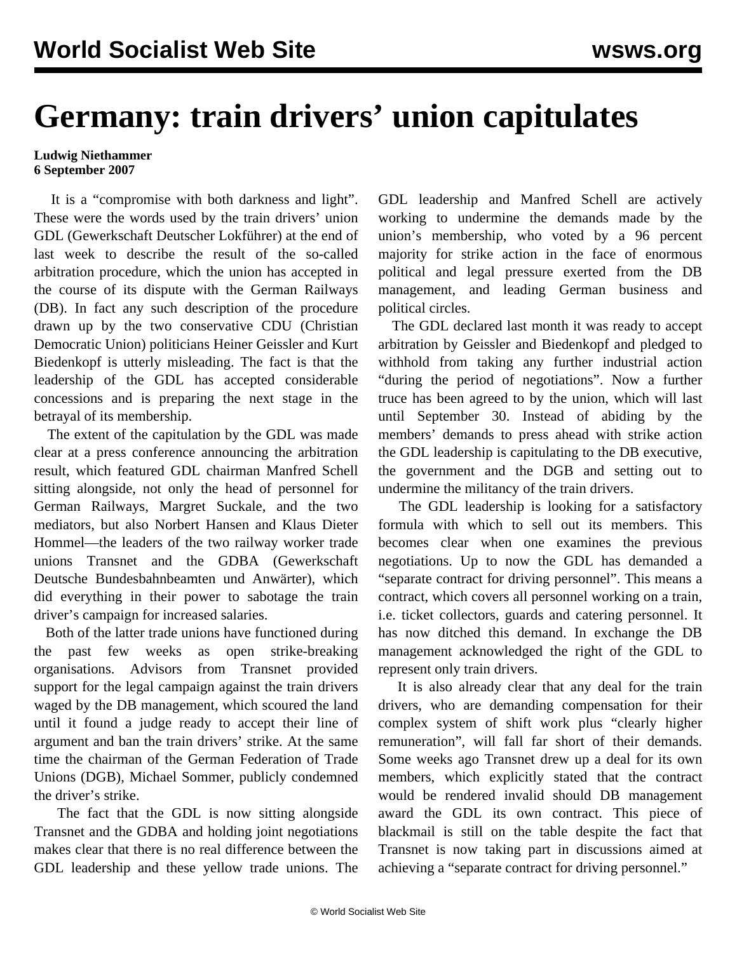## **Germany: train drivers' union capitulates**

## **Ludwig Niethammer 6 September 2007**

 It is a "compromise with both darkness and light". These were the words used by the train drivers' union GDL (Gewerkschaft Deutscher Lokführer) at the end of last week to describe the result of the so-called arbitration procedure, which the union has accepted in the course of its dispute with the German Railways (DB). In fact any such description of the procedure drawn up by the two conservative CDU (Christian Democratic Union) politicians Heiner Geissler and Kurt Biedenkopf is utterly misleading. The fact is that the leadership of the GDL has accepted considerable concessions and is preparing the next stage in the betrayal of its membership.

 The extent of the capitulation by the GDL was made clear at a press conference announcing the arbitration result, which featured GDL chairman Manfred Schell sitting alongside, not only the head of personnel for German Railways, Margret Suckale, and the two mediators, but also Norbert Hansen and Klaus Dieter Hommel—the leaders of the two railway worker trade unions Transnet and the GDBA (Gewerkschaft Deutsche Bundesbahnbeamten und Anwärter), which did everything in their power to sabotage the train driver's campaign for increased salaries.

 Both of the latter trade unions have functioned during the past few weeks as open strike-breaking organisations. Advisors from Transnet provided support for the legal campaign against the train drivers waged by the DB management, which scoured the land until it found a judge ready to accept their line of argument and ban the train drivers' strike. At the same time the chairman of the German Federation of Trade Unions (DGB), Michael Sommer, publicly condemned the driver's strike.

 The fact that the GDL is now sitting alongside Transnet and the GDBA and holding joint negotiations makes clear that there is no real difference between the GDL leadership and these yellow trade unions. The GDL leadership and Manfred Schell are actively working to undermine the demands made by the union's membership, who voted by a 96 percent majority for strike action in the face of enormous political and legal pressure exerted from the DB management, and leading German business and political circles.

 The GDL declared last month it was ready to accept arbitration by Geissler and Biedenkopf and pledged to withhold from taking any further industrial action "during the period of negotiations". Now a further truce has been agreed to by the union, which will last until September 30. Instead of abiding by the members' demands to press ahead with strike action the GDL leadership is capitulating to the DB executive, the government and the DGB and setting out to undermine the militancy of the train drivers.

 The GDL leadership is looking for a satisfactory formula with which to sell out its members. This becomes clear when one examines the previous negotiations. Up to now the GDL has demanded a "separate contract for driving personnel". This means a contract, which covers all personnel working on a train, i.e. ticket collectors, guards and catering personnel. It has now ditched this demand. In exchange the DB management acknowledged the right of the GDL to represent only train drivers.

 It is also already clear that any deal for the train drivers, who are demanding compensation for their complex system of shift work plus "clearly higher remuneration", will fall far short of their demands. Some weeks ago Transnet drew up a deal for its own members, which explicitly stated that the contract would be rendered invalid should DB management award the GDL its own contract. This piece of blackmail is still on the table despite the fact that Transnet is now taking part in discussions aimed at achieving a "separate contract for driving personnel."